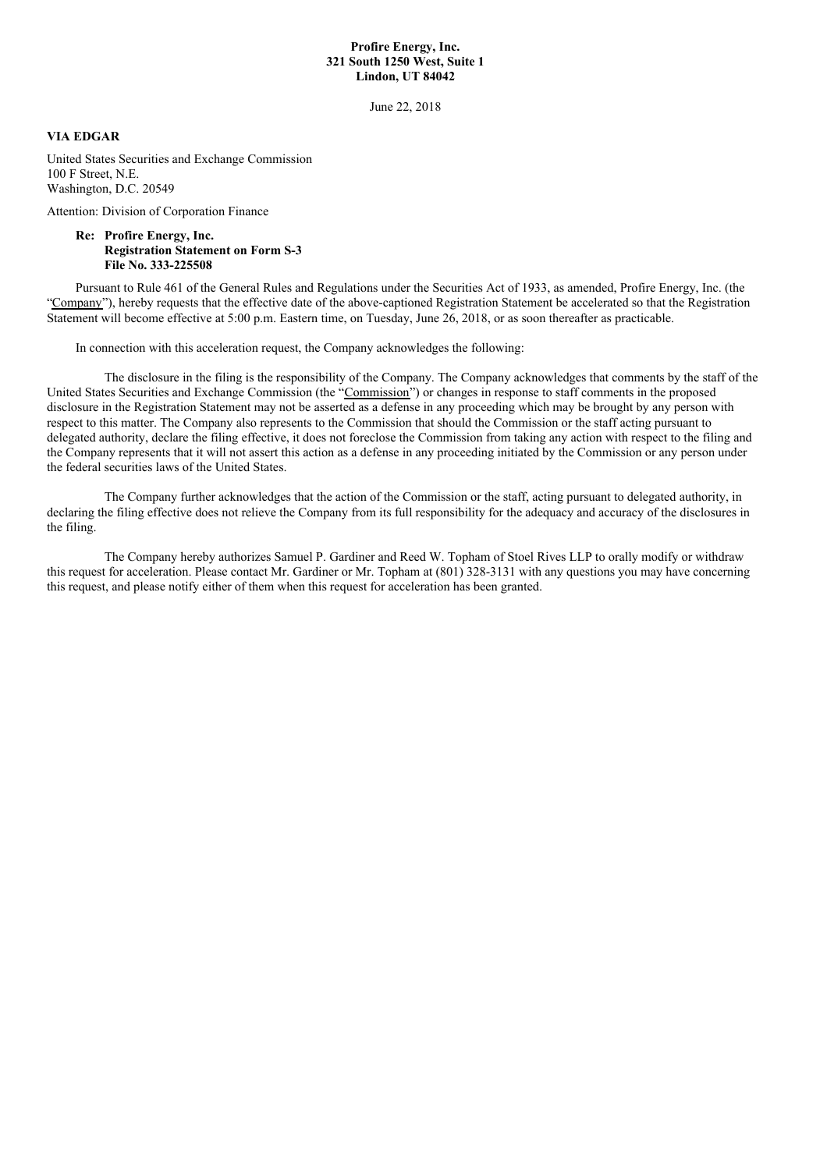## **Profire Energy, Inc. 321 South 1250 West, Suite 1 Lindon, UT 84042**

June 22, 2018

## **VIA EDGAR**

United States Securities and Exchange Commission 100 F Street, N.E. Washington, D.C. 20549

Attention: Division of Corporation Finance

## **Re: Profire Energy, Inc. Registration Statement on Form S-3 File No. 333-225508**

Pursuant to Rule 461 of the General Rules and Regulations under the Securities Act of 1933, as amended, Profire Energy, Inc. (the "Company"), hereby requests that the effective date of the above-captioned Registration Statement be accelerated so that the Registration Statement will become effective at 5:00 p.m. Eastern time, on Tuesday, June 26, 2018, or as soon thereafter as practicable.

In connection with this acceleration request, the Company acknowledges the following:

The disclosure in the filing is the responsibility of the Company. The Company acknowledges that comments by the staff of the United States Securities and Exchange Commission (the "Commission") or changes in response to staff comments in the proposed disclosure in the Registration Statement may not be asserted as a defense in any proceeding which may be brought by any person with respect to this matter. The Company also represents to the Commission that should the Commission or the staff acting pursuant to delegated authority, declare the filing effective, it does not foreclose the Commission from taking any action with respect to the filing and the Company represents that it will not assert this action as a defense in any proceeding initiated by the Commission or any person under the federal securities laws of the United States.

The Company further acknowledges that the action of the Commission or the staff, acting pursuant to delegated authority, in declaring the filing effective does not relieve the Company from its full responsibility for the adequacy and accuracy of the disclosures in the filing.

The Company hereby authorizes Samuel P. Gardiner and Reed W. Topham of Stoel Rives LLP to orally modify or withdraw this request for acceleration. Please contact Mr. Gardiner or Mr. Topham at (801) 328-3131 with any questions you may have concerning this request, and please notify either of them when this request for acceleration has been granted.